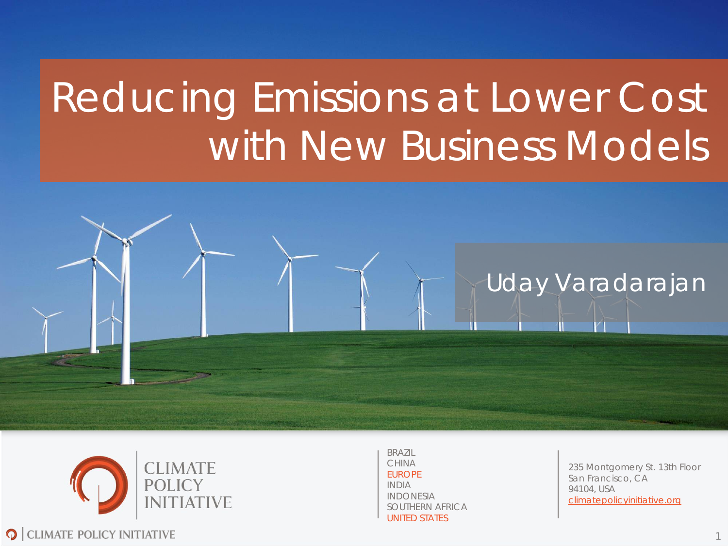# Reducing Emissions at Lower Cost with New Business Models





BRAZIL CHINA EUROPE INDIA INDONESIA SOUTHERN AFRICA UNITED STATES

235 Montgomery St. 13th Floor San Francisco, CA 94104, USA climatepolicyinitiative.org

1

**Q** CLIMATE POLICY INITIATIVE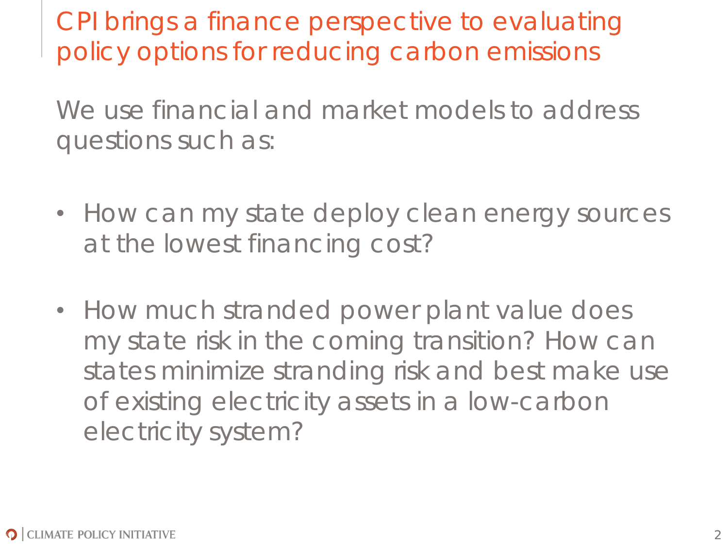CPI brings a finance perspective to evaluating policy options for reducing carbon emissions

We use financial and market models to address questions such as:

- How can my state deploy clean energy sources at the lowest financing cost?
- How much stranded power plant value does my state risk in the coming transition? How can states minimize stranding risk and best make use of existing electricity assets in a low-carbon electricity system?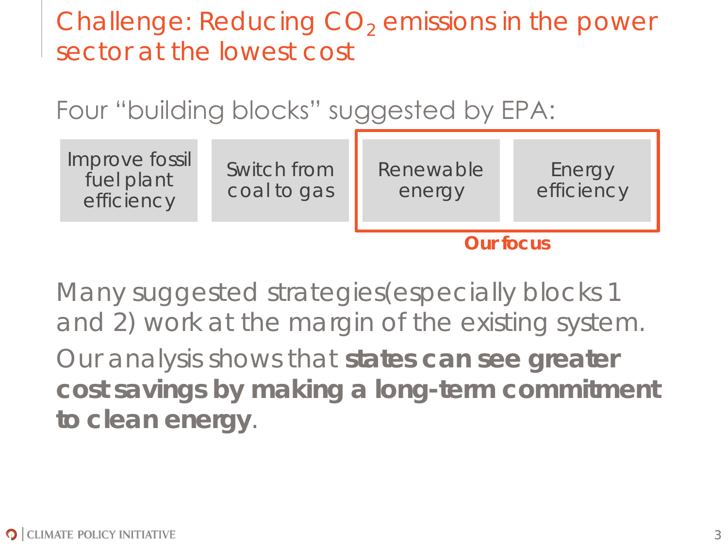Challenge: Reducing  $CO<sub>2</sub>$  emissions in the power sector at the lowest cost

Four "building blocks" suggested by EPA:



Many suggested strategies(especially blocks 1 and 2) work at the margin of the existing system.

Our analysis shows that **states can see greater cost savings by making a long-term commitment to clean energy**.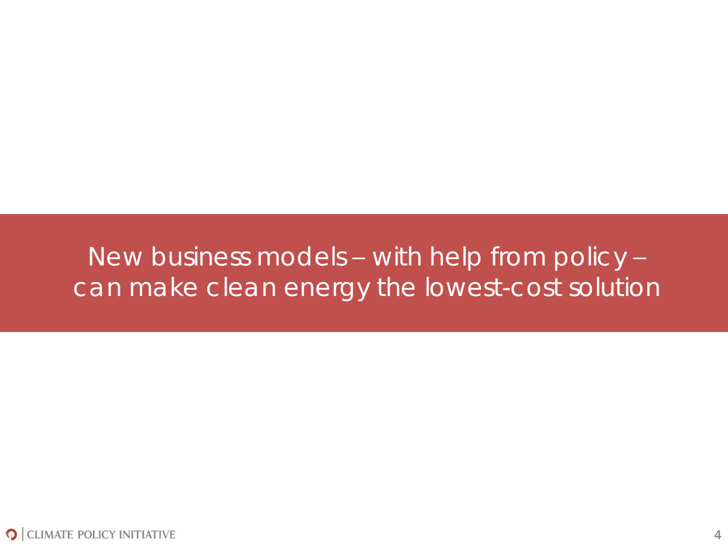#### New business models – with help from policy – can make clean energy the lowest-cost solution

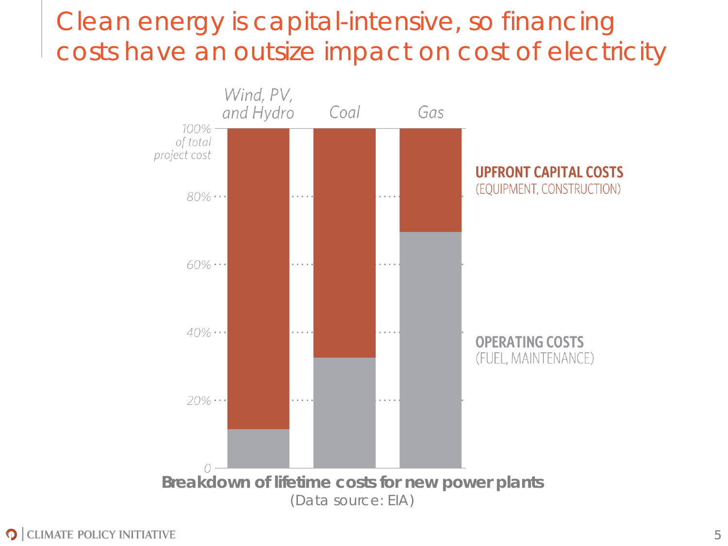## Clean energy is capital-intensive, so financing costs have an outsize impact on cost of electricity

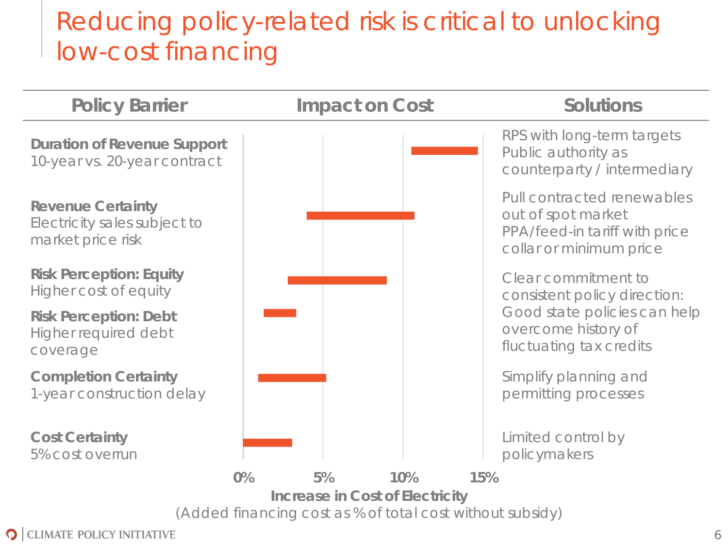## Reducing policy-related risk is critical to unlocking low-cost financing



**O** CLIMATE POLICY INITIATIVE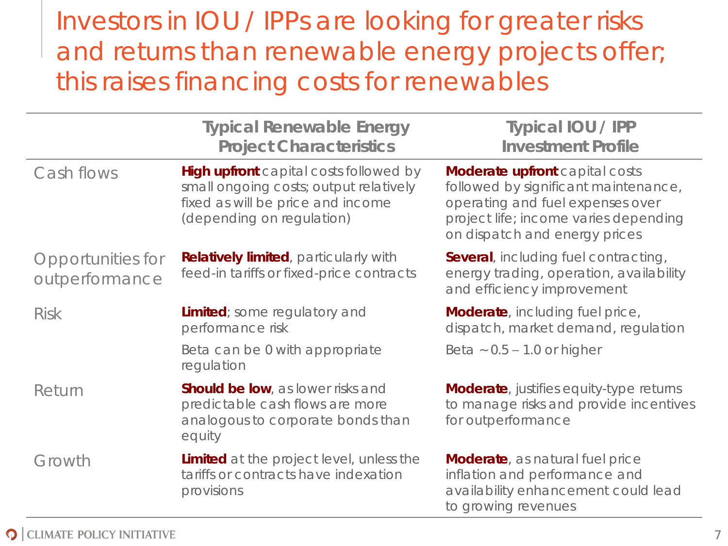#### Investors in IOU / IPPs are looking for greater risks and returns than renewable energy projects offer; this raises financing costs for renewables

|                                     | <b>Typical Renewable Energy</b><br><b>Project Characteristics</b>                                                                                  | Typical IOU / IPP<br><b>Investment Profile</b>                                                                                                                                       |  |
|-------------------------------------|----------------------------------------------------------------------------------------------------------------------------------------------------|--------------------------------------------------------------------------------------------------------------------------------------------------------------------------------------|--|
| Cash flows                          | High upfront capital costs followed by<br>small ongoing costs; output relatively<br>fixed as will be price and income<br>(depending on regulation) | Moderate upfront capital costs<br>followed by significant maintenance,<br>operating and fuel expenses over<br>project life; income varies depending<br>on dispatch and energy prices |  |
| Opportunities for<br>outperformance | Relatively limited, particularly with<br>feed-in tariffs or fixed-price contracts                                                                  | Several, including fuel contracting,<br>energy trading, operation, availability<br>and efficiency improvement                                                                        |  |
| <b>Risk</b>                         | Limited; some regulatory and<br>performance risk                                                                                                   | Moderate, including fuel price,<br>dispatch, market demand, regulation                                                                                                               |  |
|                                     | Beta can be 0 with appropriate<br>regulation                                                                                                       | Beta $\sim 0.5 - 1.0$ or higher                                                                                                                                                      |  |
| Return                              | Should be low, as lower risks and<br>predictable cash flows are more<br>analogous to corporate bonds than<br>equity                                | Moderate, justifies equity-type returns<br>to manage risks and provide incentives<br>for outperformance                                                                              |  |
| Growth                              | Limited at the project level, unless the<br>tariffs or contracts have indexation<br>provisions                                                     | Moderate, as natural fuel price<br>inflation and performance and<br>availability enhancement could lead<br>to growing revenues                                                       |  |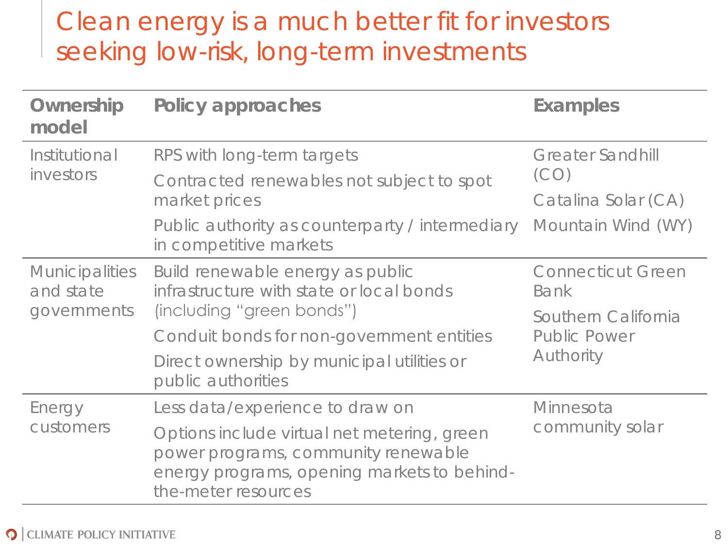## Clean energy is a much better fit for investors seeking low-risk, long-term investments

| Ownership<br>model                                | Policy approaches                                                                                                                                        | Examples                         |  |
|---------------------------------------------------|----------------------------------------------------------------------------------------------------------------------------------------------------------|----------------------------------|--|
| Institutional<br>investors                        | RPS with long-term targets                                                                                                                               | <b>Greater Sandhill</b><br>(CO)  |  |
|                                                   | Contracted renewables not subject to spot                                                                                                                |                                  |  |
|                                                   | market prices                                                                                                                                            | Catalina Solar (CA)              |  |
|                                                   | Public authority as counterparty / intermediary<br>in competitive markets                                                                                | Mountain Wind (WY)               |  |
| <b>Municipalities</b><br>and state<br>governments | Build renewable energy as public<br>infrastructure with state or local bonds                                                                             | <b>Connecticut Green</b><br>Bank |  |
|                                                   | (including "green bonds")                                                                                                                                | Southern California              |  |
|                                                   | Conduit bonds for non-government entities                                                                                                                | <b>Public Power</b><br>Authority |  |
|                                                   | Direct ownership by municipal utilities or<br>public authorities                                                                                         |                                  |  |
| Energy<br>customers                               | Less data/experience to draw on                                                                                                                          | Minnesota                        |  |
|                                                   | Options include virtual net metering, green<br>power programs, community renewable<br>energy programs, opening markets to behind-<br>the-meter resources | community solar                  |  |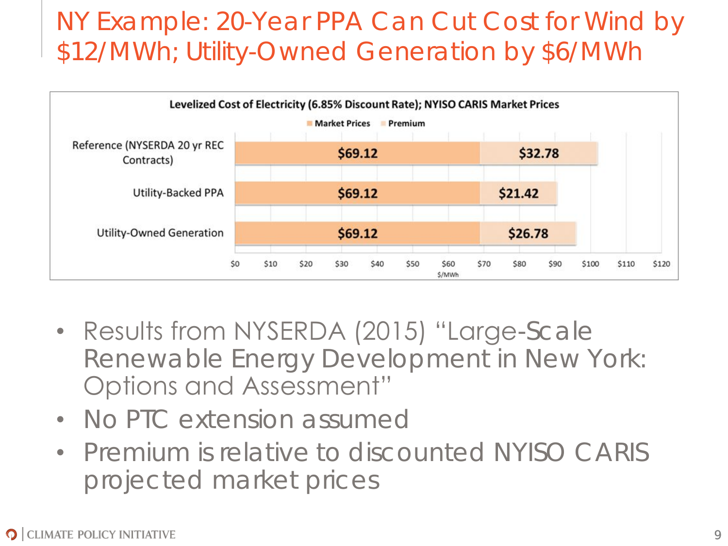## NY Example: 20-Year PPA Can Cut Cost for Wind by \$12/MWh; Utility-Owned Generation by \$6/MWh



- Results from NYSERDA (2015) "Large-Scale Renewable Energy Development in New York: Options and Assessment"
- No PTC extension assumed
- Premium is relative to discounted NYISO CARIS projected market prices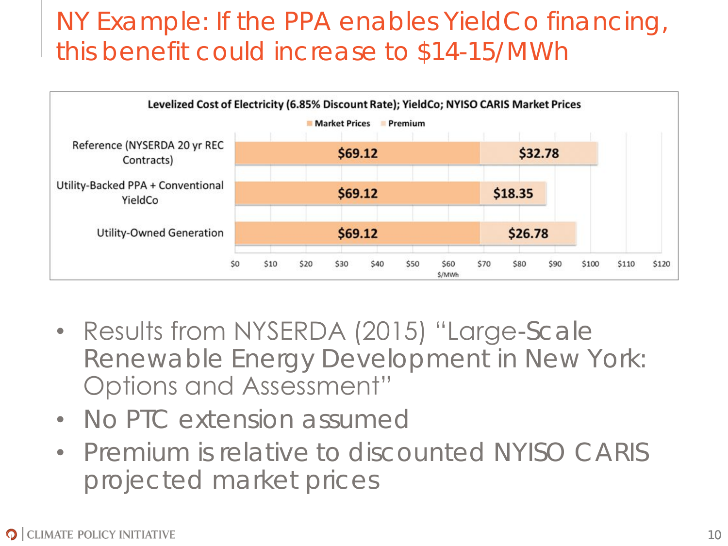## NY Example: If the PPA enables YieldCo financing, this benefit could increase to \$14-15/MWh



- Results from NYSERDA (2015) "Large-Scale Renewable Energy Development in New York: Options and Assessment"
- No PTC extension assumed
- Premium is relative to discounted NYISO CARIS projected market prices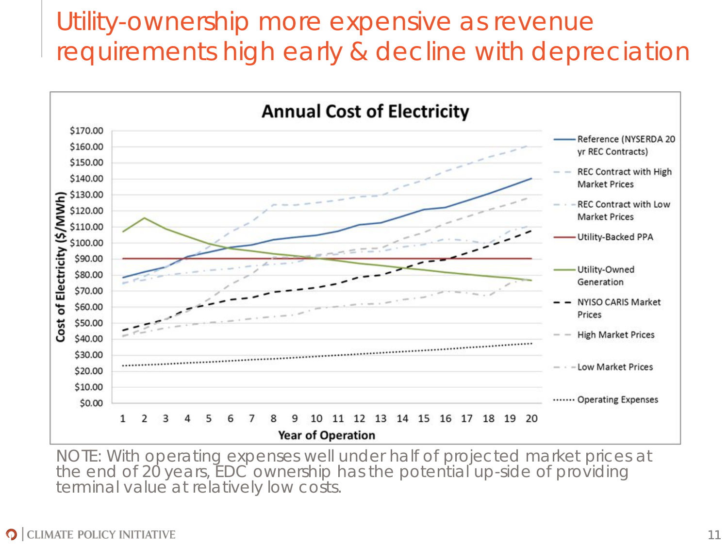## Utility-ownership more expensive as revenue requirements high early & decline with depreciation



NOTE: With operating expenses well under half of projected market prices at the end of 20 years, EDC ownership has the potential up-side of providing terminal value at relatively low costs.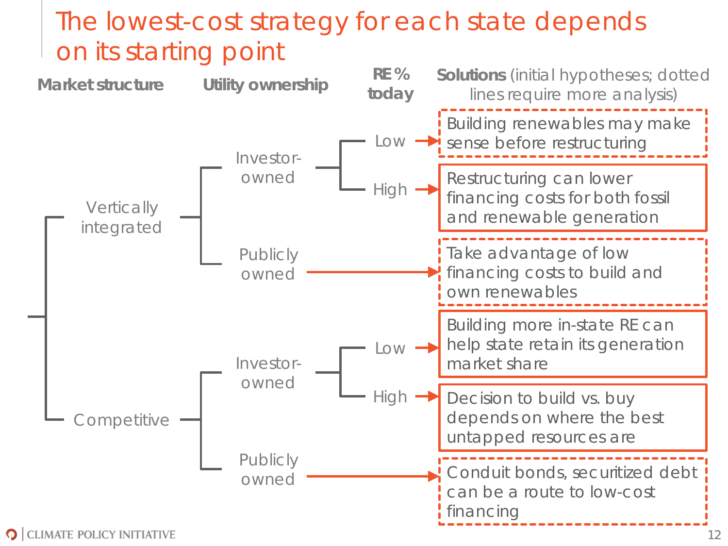## The lowest-cost strategy for each state depends on its starting point

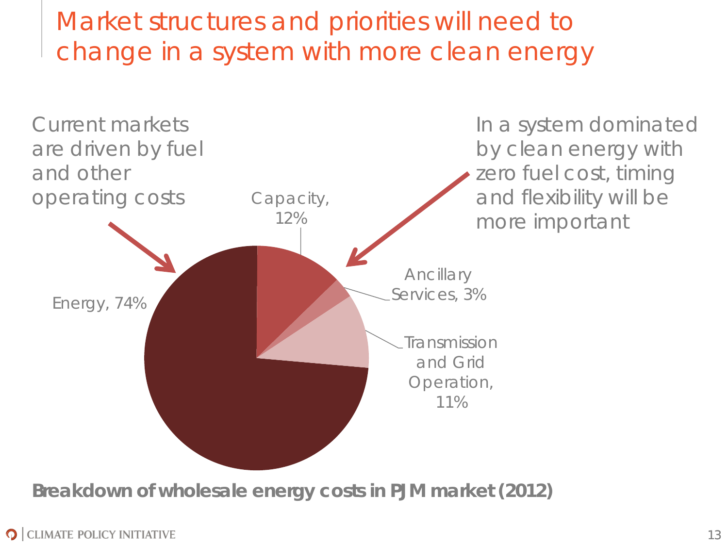Market structures and priorities will need to change in a system with more clean energy



**Breakdown of wholesale energy costs in PJM market (2012)**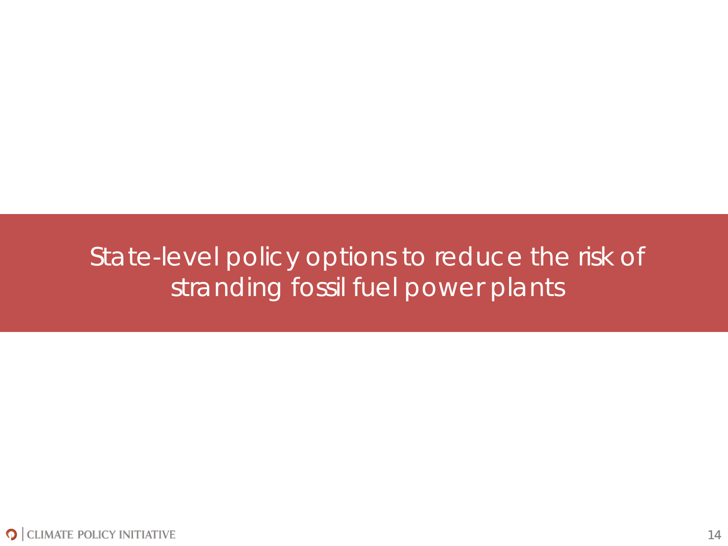#### State-level policy options to reduce the risk of stranding fossil fuel power plants

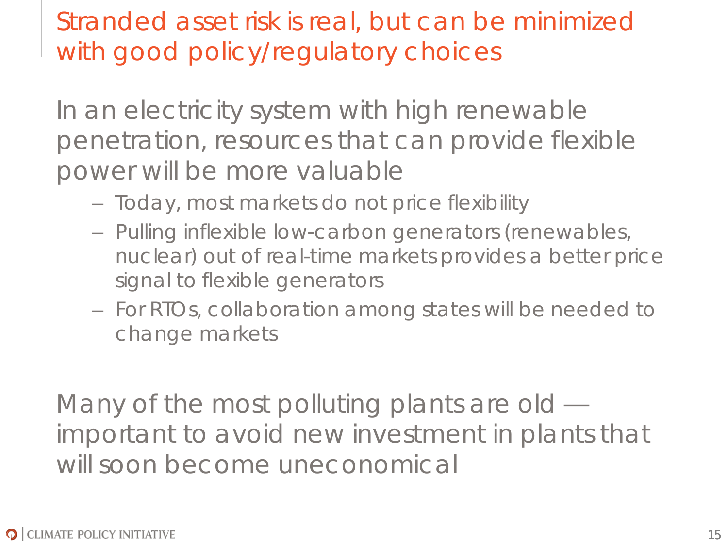Stranded asset risk is real, but can be minimized with good policy/regulatory choices

In an electricity system with high renewable penetration, resources that can provide flexible power will be more valuable

- Today, most markets do not price flexibility
- Pulling inflexible low-carbon generators (renewables, nuclear) out of real-time markets provides a better price signal to flexible generators
- For RTOs, collaboration among states will be needed to change markets

Many of the most polluting plants are old important to avoid new investment in plants that will soon become uneconomical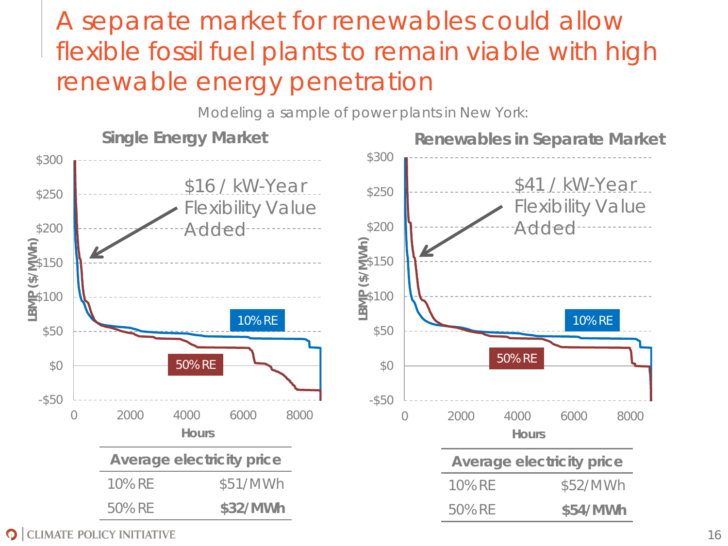## A separate market for renewables could allow flexible fossil fuel plants to remain viable with high renewable energy penetration

**Single Energy Market** \$250 \$300 \$16 / kW-Year \$41 / kW-Year Modeling a sample of power plants in New York: **Renewables in Separate Market**



**O** CLIMATE POLICY INITIATIVE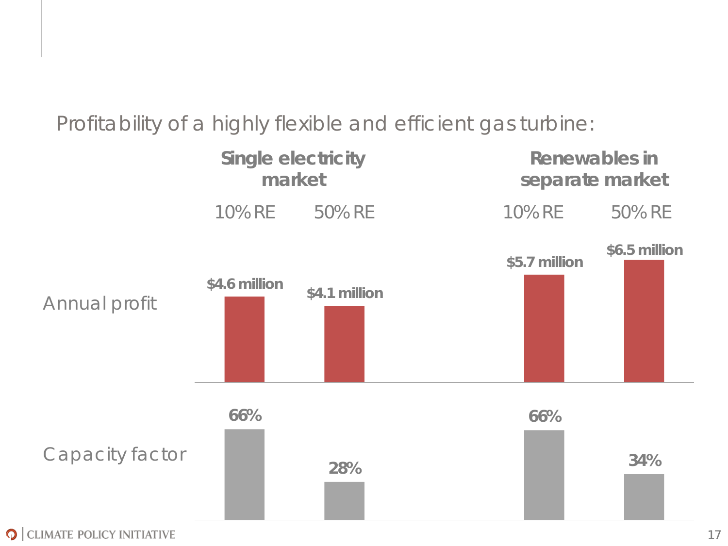#### Profitability of a highly flexible and efficient gas turbine:



17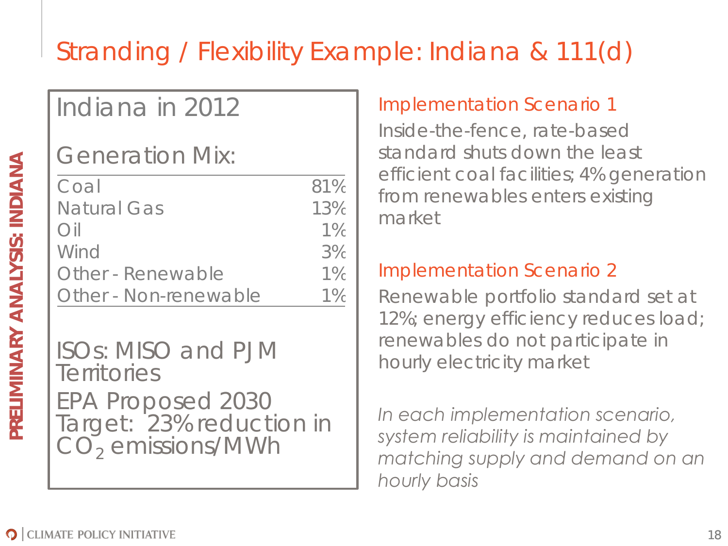# Stranding / Flexibility Example: Indiana & 111(d)

## Indiana in 2012

Generation Mix:

| Coal                  | 81%   |
|-----------------------|-------|
| Natural Gas           | 13%   |
| $()$ il               | $1\%$ |
| Wind                  | 3%    |
| Other - Renewable     | $1\%$ |
| Other - Non-renewable | $1\%$ |

ISOs: MISO and PJM **Territories** EPA Proposed 2030 Target: 23% reduction in  $CO<sub>2</sub>$  emissions/MWh

#### Implementation Scenario 1

Inside-the-fence, rate-based standard shuts down the least efficient coal facilities; 4% generation from renewables enters existing market

#### Implementation Scenario 2

Renewable portfolio standard set at 12%; energy efficiency reduces load; renewables do not participate in hourly electricity market

*In each implementation scenario, system reliability is maintained by matching supply and demand on an hourly basis*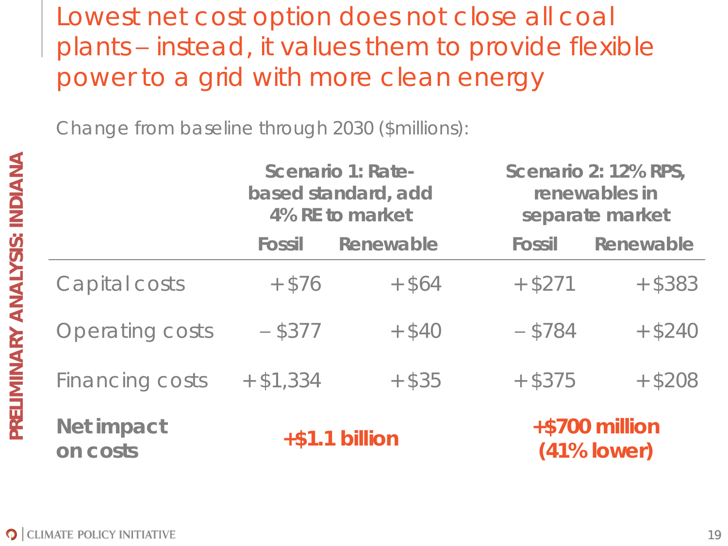Lowest net cost option does not close all coal plants – instead, it values them to provide flexible power to a grid with more clean energy

Change from baseline through 2030 (\$millions):

|                        | Scenario 1: Rate-<br>based standard, add<br>4% RE to market |           | Scenario 2: 12% RPS,<br>renewables in<br>separate market |                                    |
|------------------------|-------------------------------------------------------------|-----------|----------------------------------------------------------|------------------------------------|
|                        | Fossil                                                      | Renewable | Fossil                                                   | Renewable                          |
| Capital costs          | $+$ \$76                                                    | $+$ \$64  | $+$ \$271                                                | $+$ \$383                          |
| <b>Operating costs</b> | $-$ \$377                                                   | $+$ \$40  | $- $784$                                                 | $+$ \$240                          |
| Financing costs        | $+$ \$1,334                                                 | $+$ \$35  | $+$ \$375                                                | $+$ \$208                          |
| Net impact<br>on costs | $+ $1.1$ billion                                            |           |                                                          | $+ $700$ million<br>$(41\%$ lower) |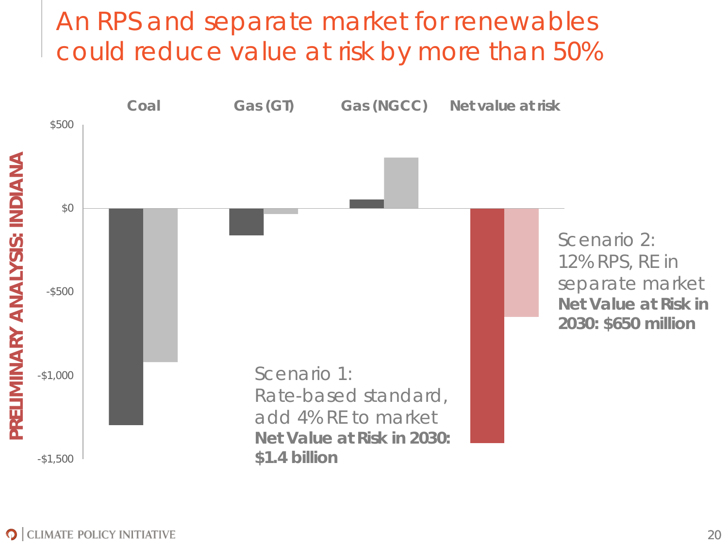#### An RPS and separate market for renewables could reduce value at risk by more than 50%